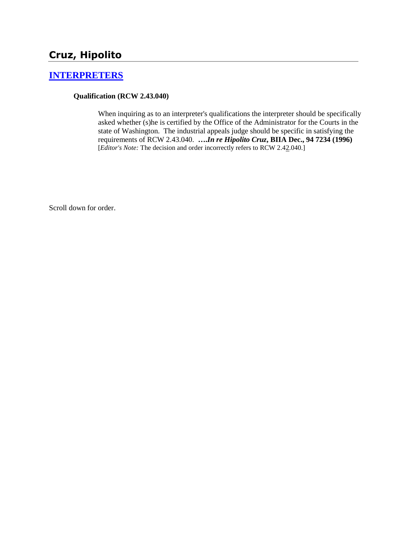# **Cruz, Hipolito**

### **[INTERPRETERS](http://www.biia.wa.gov/SDSubjectIndex.html#INTERPRETERS)**

### **Qualification (RCW 2.43.040)**

When inquiring as to an interpreter's qualifications the interpreter should be specifically asked whether (s)he is certified by the Office of the Administrator for the Courts in the state of Washington. The industrial appeals judge should be specific in satisfying the requirements of RCW 2.43.040. **….***In re Hipolito Cruz***, BIIA Dec., 94 7234 (1996)**  [*Editor's Note:* The decision and order incorrectly refers to RCW 2.42.040.]

Scroll down for order.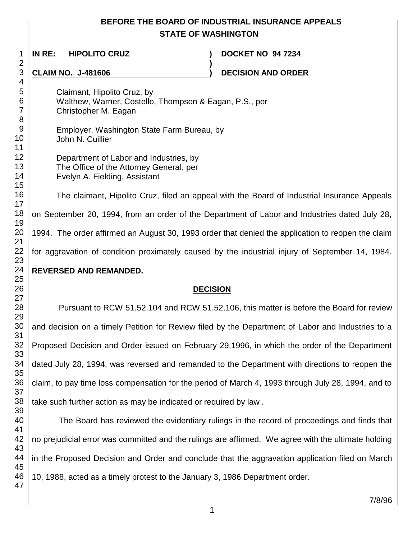## **BEFORE THE BOARD OF INDUSTRIAL INSURANCE APPEALS STATE OF WASHINGTON**

**)**

 **IN RE: HIPOLITO CRUZ ) DOCKET NO 94 7234**

**CLAIM NO. J-481606 ) DECISION AND ORDER** 

Claimant, Hipolito Cruz, by Walthew, Warner, Costello, Thompson & Eagan, P.S., per Christopher M. Eagan

Employer, Washington State Farm Bureau, by John N. Cuillier

| Department of Labor and Industries, by  |  |  |
|-----------------------------------------|--|--|
| The Office of the Attorney General, per |  |  |
| Evelyn A. Fielding, Assistant           |  |  |

The claimant, Hipolito Cruz, filed an appeal with the Board of Industrial Insurance Appeals on September 20, 1994, from an order of the Department of Labor and Industries dated July 28, 1994. The order affirmed an August 30, 1993 order that denied the application to reopen the claim for aggravation of condition proximately caused by the industrial injury of September 14, 1984.

## **REVERSED AND REMANDED.**

## **DECISION**

Pursuant to RCW 51.52.104 and RCW 51.52.106, this matter is before the Board for review and decision on a timely Petition for Review filed by the Department of Labor and Industries to a Proposed Decision and Order issued on February 29,1996, in which the order of the Department dated July 28, 1994, was reversed and remanded to the Department with directions to reopen the claim, to pay time loss compensation for the period of March 4, 1993 through July 28, 1994, and to take such further action as may be indicated or required by law .

 The Board has reviewed the evidentiary rulings in the record of proceedings and finds that no prejudicial error was committed and the rulings are affirmed. We agree with the ultimate holding in the Proposed Decision and Order and conclude that the aggravation application filed on March 10, 1988, acted as a timely protest to the January 3, 1986 Department order.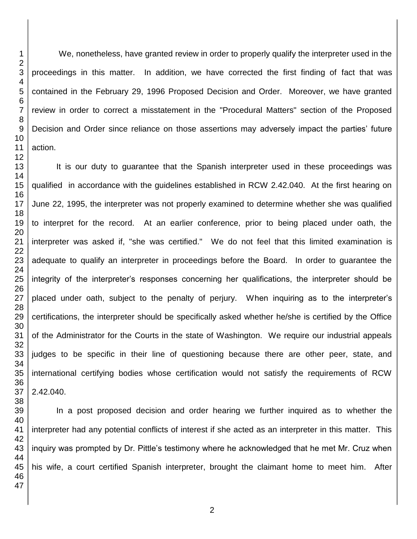We, nonetheless, have granted review in order to properly qualify the interpreter used in the proceedings in this matter. In addition, we have corrected the first finding of fact that was contained in the February 29, 1996 Proposed Decision and Order. Moreover, we have granted review in order to correct a misstatement in the "Procedural Matters" section of the Proposed Decision and Order since reliance on those assertions may adversely impact the parties' future action.

It is our duty to guarantee that the Spanish interpreter used in these proceedings was qualified in accordance with the guidelines established in RCW 2.42.040. At the first hearing on June 22, 1995, the interpreter was not properly examined to determine whether she was qualified to interpret for the record. At an earlier conference, prior to being placed under oath, the interpreter was asked if, "she was certified." We do not feel that this limited examination is adequate to qualify an interpreter in proceedings before the Board. In order to guarantee the integrity of the interpreter's responses concerning her qualifications, the interpreter should be placed under oath, subject to the penalty of perjury. When inquiring as to the interpreter's certifications, the interpreter should be specifically asked whether he/she is certified by the Office of the Administrator for the Courts in the state of Washington. We require our industrial appeals judges to be specific in their line of questioning because there are other peer, state, and international certifying bodies whose certification would not satisfy the requirements of RCW 2.42.040.

In a post proposed decision and order hearing we further inquired as to whether the interpreter had any potential conflicts of interest if she acted as an interpreter in this matter. This inquiry was prompted by Dr. Pittle's testimony where he acknowledged that he met Mr. Cruz when his wife, a court certified Spanish interpreter, brought the claimant home to meet him. After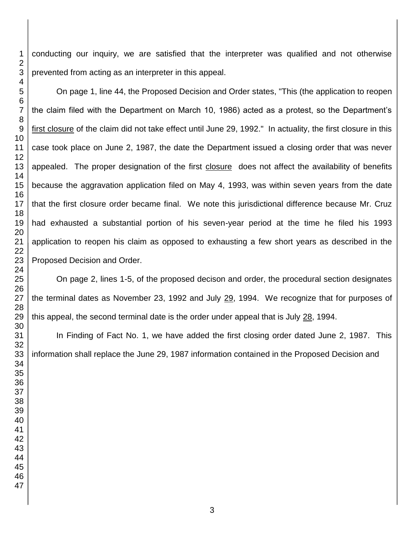conducting our inquiry, we are satisfied that the interpreter was qualified and not otherwise prevented from acting as an interpreter in this appeal.

On page 1, line 44, the Proposed Decision and Order states, "This (the application to reopen the claim filed with the Department on March 10, 1986) acted as a protest, so the Department's first closure of the claim did not take effect until June 29, 1992." In actuality, the first closure in this case took place on June 2, 1987, the date the Department issued a closing order that was never appealed. The proper designation of the first closure does not affect the availability of benefits because the aggravation application filed on May 4, 1993, was within seven years from the date that the first closure order became final. We note this jurisdictional difference because Mr. Cruz had exhausted a substantial portion of his seven-year period at the time he filed his 1993 application to reopen his claim as opposed to exhausting a few short years as described in the Proposed Decision and Order.

On page 2, lines 1-5, of the proposed decison and order, the procedural section designates the terminal dates as November 23, 1992 and July 29, 1994. We recognize that for purposes of this appeal, the second terminal date is the order under appeal that is July 28, 1994.

In Finding of Fact No. 1, we have added the first closing order dated June 2, 1987. This information shall replace the June 29, 1987 information contained in the Proposed Decision and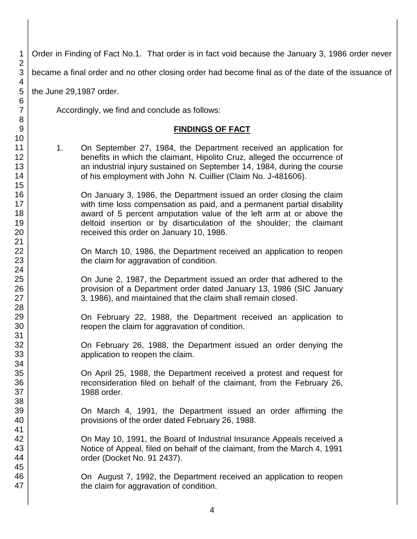1 2 3 4 5 6 7 8 9 10 11 12 13 14 15 16 17 18 19 20 21 22 23 24 25 26 27 28 29 30 31 32 33 34 35 36 37 38 39 40 41 42 43 44 45 46 47 Order in Finding of Fact No.1. That order is in fact void because the January 3, 1986 order never became a final order and no other closing order had become final as of the date of the issuance of the June 29,1987 order. Accordingly, we find and conclude as follows: **FINDINGS OF FACT** 1. On September 27, 1984, the Department received an application for benefits in which the claimant, Hipolito Cruz, alleged the occurrence of an industrial injury sustained on September 14, 1984, during the course of his employment with John N. Cuillier (Claim No. J-481606). On January 3, 1986, the Department issued an order closing the claim with time loss compensation as paid, and a permanent partial disability award of 5 percent amputation value of the left arm at or above the deltoid insertion or by disarticulation of the shoulder; the claimant received this order on January 10, 1986. On March 10, 1986, the Department received an application to reopen the claim for aggravation of condition. On June 2, 1987, the Department issued an order that adhered to the provision of a Department order dated January 13, 1986 (SIC January 3, 1986), and maintained that the claim shall remain closed. On February 22, 1988, the Department received an application to reopen the claim for aggravation of condition. On February 26, 1988, the Department issued an order denying the application to reopen the claim. On April 25, 1988, the Department received a protest and request for reconsideration filed on behalf of the claimant, from the February 26, 1988 order. On March 4, 1991, the Department issued an order affirming the provisions of the order dated February 26, 1988. On May 10, 1991, the Board of Industrial Insurance Appeals received a Notice of Appeal, filed on behalf of the claimant, from the March 4, 1991 order (Docket No. 91 2437). On August 7, 1992, the Department received an application to reopen the claim for aggravation of condition.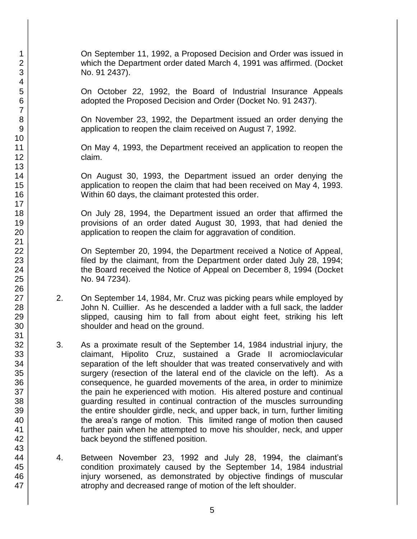On September 11, 1992, a Proposed Decision and Order was issued in which the Department order dated March 4, 1991 was affirmed. (Docket No. 91 2437).

On October 22, 1992, the Board of Industrial Insurance Appeals adopted the Proposed Decision and Order (Docket No. 91 2437).

On November 23, 1992, the Department issued an order denying the application to reopen the claim received on August 7, 1992.

On May 4, 1993, the Department received an application to reopen the claim.

On August 30, 1993, the Department issued an order denying the application to reopen the claim that had been received on May 4, 1993. Within 60 days, the claimant protested this order.

On July 28, 1994, the Department issued an order that affirmed the provisions of an order dated August 30, 1993, that had denied the application to reopen the claim for aggravation of condition.

On September 20, 1994, the Department received a Notice of Appeal, filed by the claimant, from the Department order dated July 28, 1994; the Board received the Notice of Appeal on December 8, 1994 (Docket No. 94 7234).

- 2. On September 14, 1984, Mr. Cruz was picking pears while employed by John N. Cuillier. As he descended a ladder with a full sack, the ladder slipped, causing him to fall from about eight feet, striking his left shoulder and head on the ground.
- 3. As a proximate result of the September 14, 1984 industrial injury, the claimant, Hipolito Cruz, sustained a Grade II acromioclavicular separation of the left shoulder that was treated conservatively and with surgery (resection of the lateral end of the clavicle on the left). As a consequence, he guarded movements of the area, in order to minimize the pain he experienced with motion. His altered posture and continual guarding resulted in continual contraction of the muscles surrounding the entire shoulder girdle, neck, and upper back, in turn, further limiting the area's range of motion. This limited range of motion then caused further pain when he attempted to move his shoulder, neck, and upper back beyond the stiffened position.
- 4. Between November 23, 1992 and July 28, 1994, the claimant's condition proximately caused by the September 14, 1984 industrial injury worsened, as demonstrated by objective findings of muscular atrophy and decreased range of motion of the left shoulder.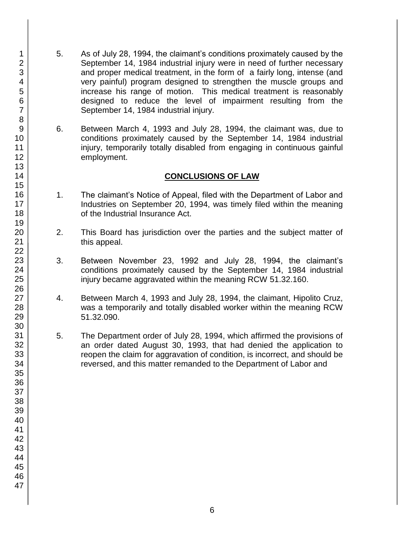- 5. As of July 28, 1994, the claimant's conditions proximately caused by the September 14, 1984 industrial injury were in need of further necessary and proper medical treatment, in the form of a fairly long, intense (and very painful) program designed to strengthen the muscle groups and increase his range of motion. This medical treatment is reasonably designed to reduce the level of impairment resulting from the September 14, 1984 industrial injury.
- 6. Between March 4, 1993 and July 28, 1994, the claimant was, due to conditions proximately caused by the September 14, 1984 industrial injury, temporarily totally disabled from engaging in continuous gainful employment.

### **CONCLUSIONS OF LAW**

- 1. The claimant's Notice of Appeal, filed with the Department of Labor and Industries on September 20, 1994, was timely filed within the meaning of the Industrial Insurance Act.
- 2. This Board has jurisdiction over the parties and the subject matter of this appeal.
- 3. Between November 23, 1992 and July 28, 1994, the claimant's conditions proximately caused by the September 14, 1984 industrial injury became aggravated within the meaning RCW 51.32.160.
- 4. Between March 4, 1993 and July 28, 1994, the claimant, Hipolito Cruz, was a temporarily and totally disabled worker within the meaning RCW 51.32.090.
- 5. The Department order of July 28, 1994, which affirmed the provisions of an order dated August 30, 1993, that had denied the application to reopen the claim for aggravation of condition, is incorrect, and should be reversed, and this matter remanded to the Department of Labor and